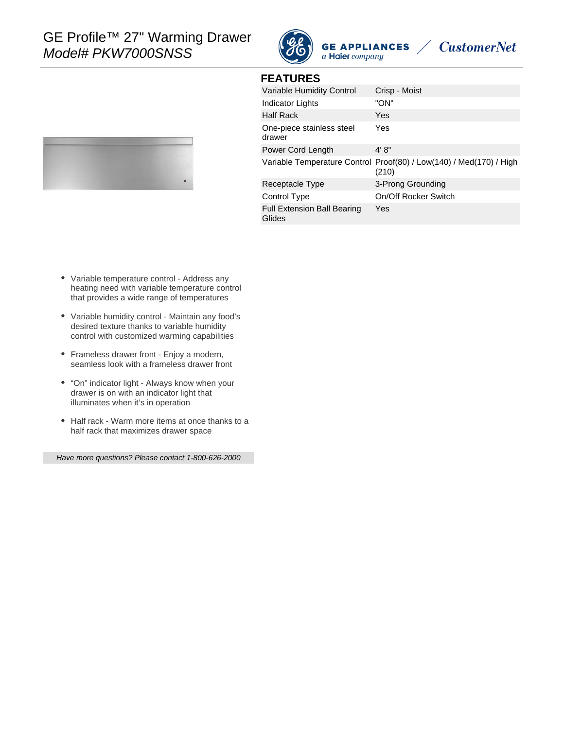

**FEATURES**





| <b>FEAIUREJ</b>                              |                                                                              |
|----------------------------------------------|------------------------------------------------------------------------------|
| Variable Humidity Control                    | Crisp - Moist                                                                |
| Indicator Lights                             | "ON"                                                                         |
| <b>Half Rack</b>                             | Yes                                                                          |
| One-piece stainless steel<br>drawer          | Yes                                                                          |
| Power Cord Length                            | 4' 8''                                                                       |
|                                              | Variable Temperature Control Proof(80) / Low(140) / Med(170) / High<br>(210) |
| Receptacle Type                              | 3-Prong Grounding                                                            |
| Control Type                                 | On/Off Rocker Switch                                                         |
| <b>Full Extension Ball Bearing</b><br>Glides | Yes                                                                          |
|                                              |                                                                              |

**GE APPLIANCES**  $a$  Haier company

- Variable temperature control Address any heating need with variable temperature control that provides a wide range of temperatures
- Variable humidity control Maintain any food's desired texture thanks to variable humidity control with customized warming capabilities
- Frameless drawer front Enjoy a modern, seamless look with a frameless drawer front
- "On" indicator light Always know when your drawer is on with an indicator light that illuminates when it's in operation
- Half rack Warm more items at once thanks to a half rack that maximizes drawer space

Have more questions? Please contact 1-800-626-2000